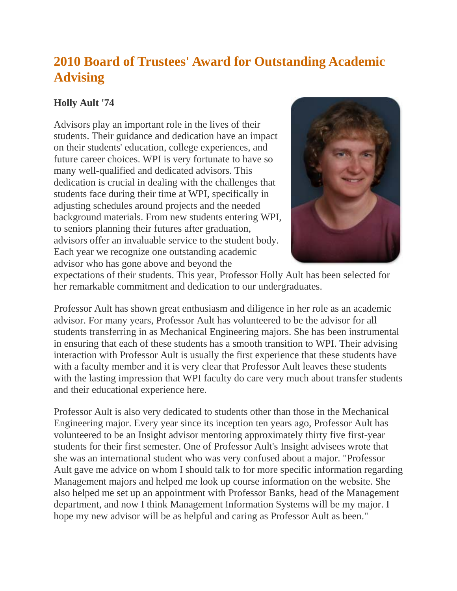## **2010 Board of Trustees' Award for Outstanding Academic Advising**

## **Holly Ault '74**

Advisors play an important role in the lives of their students. Their guidance and dedication have an impact on their students' education, college experiences, and future career choices. WPI is very fortunate to have so many well-qualified and dedicated advisors. This dedication is crucial in dealing with the challenges that students face during their time at WPI, specifically in adjusting schedules around projects and the needed background materials. From new students entering WPI, to seniors planning their futures after graduation, advisors offer an invaluable service to the student body. Each year we recognize one outstanding academic advisor who has gone above and beyond the



expectations of their students. This year, Professor Holly Ault has been selected for her remarkable commitment and dedication to our undergraduates.

Professor Ault has shown great enthusiasm and diligence in her role as an academic advisor. For many years, Professor Ault has volunteered to be the advisor for all students transferring in as Mechanical Engineering majors. She has been instrumental in ensuring that each of these students has a smooth transition to WPI. Their advising interaction with Professor Ault is usually the first experience that these students have with a faculty member and it is very clear that Professor Ault leaves these students with the lasting impression that WPI faculty do care very much about transfer students and their educational experience here.

Professor Ault is also very dedicated to students other than those in the Mechanical Engineering major. Every year since its inception ten years ago, Professor Ault has volunteered to be an Insight advisor mentoring approximately thirty five first-year students for their first semester. One of Professor Ault's Insight advisees wrote that she was an international student who was very confused about a major. "Professor Ault gave me advice on whom I should talk to for more specific information regarding Management majors and helped me look up course information on the website. She also helped me set up an appointment with Professor Banks, head of the Management department, and now I think Management Information Systems will be my major. I hope my new advisor will be as helpful and caring as Professor Ault as been."